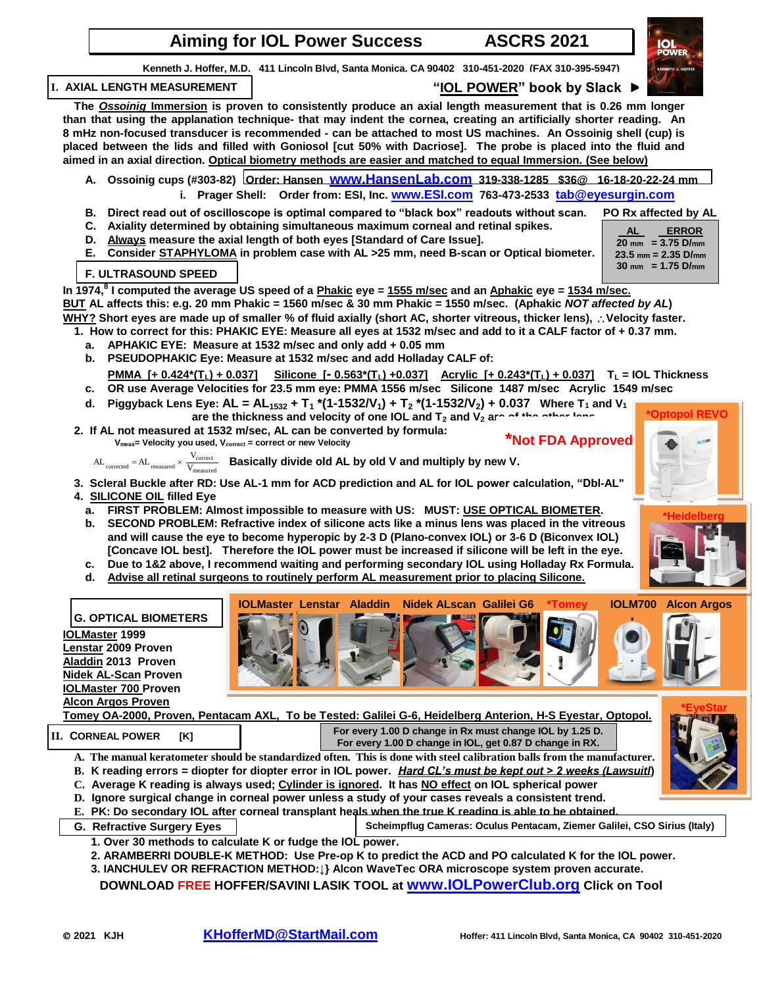# **Aiming for IOL Power Success ASCRS 2021**

**Kenneth J. Hoffer, M.D. 411 Lincoln Blvd, Santa Monica, CA 90402 310-451-2020 (FAX 310-395-5947)**

**I. AXIAL LENGTH MEASUREMENT**

#### **The** *Ossoinig* **Immersion is proven to consistently produce an axial length measurement that is 0.26 mm longer than that using the applanation technique- that may indent the cornea, creating an artificially shorter reading. An 8 mHz non-focused transducer is recommended - can be attached to most US machines. An Ossoinig shell (cup) is placed between the lids and filled with Goniosol [cut 50% with Dacriose]. The probe is placed into the fluid and aimed in an axial direction. Optical biometry methods are easier and matched to equal Immersion. (See below) A. Ossoinig cups (#303-82) Order: Hansen [www.HansenLab.com](http://www.hansenlab.com/) 319-338-1285 \$36@ 16-18-20-22-24 mm i. Prager Shell: Order from: ESI, Inc. [www.ESI.com](http://www.esi.com/) 763-473-2533 [tab@eyesurgin.com](mailto:tab@eyesurgin.com) B. Direct read out of oscilloscope is optimal compared to "black box" readouts without scan. PO Rx affected by AL C. Axiality determined by obtaining simultaneous maximum corneal and retinal spikes. AL ERROR**

- **D. Always measure the axial length of both eyes [Standard of Care Issue].**
- **E. Consider STAPHYLOMA in problem case with AL >25 mm, need B-scan or Optical biometer.**

## **F. ULTRASOUND SPEED**

**In 1974,<sup>8</sup> I computed the average US speed of a Phakic eye = 1555 m/sec and an Aphakic eye = 1534 m/sec. BUT AL affects this: e.g. 20 mm Phakic = 1560 m/sec & 30 mm Phakic = 1550 m/sec. (Aphakic** *NOT affected by AL***)** WHY? Short eyes are made up of smaller % of fluid axially (short AC, shorter vitreous, thicker lens), .: Velocity faster.

**1. How to correct for this: PHAKIC EYE: Measure all eyes at 1532 m/sec and add to it a CALF factor of + 0.37 mm.**

- **a. APHAKIC EYE: Measure at 1532 m/sec and only add + 0.05 mm**
- **b. PSEUDOPHAKIC Eye: Measure at 1532 m/sec and add Holladay CALF of:**
- **PMMA [+ 0.424\*(TL) + 0.037] Silicone [- 0.563\*(TL) +0.037] Acrylic [+ 0.243\*(TL) + 0.037] T<sup>L</sup> = IOL Thickness c. OR use Average Velocities for 23.5 mm eye: PMMA 1556 m/sec Silicone 1487 m/sec Acrylic 1549 m/sec**
- **d. Piggyback Lens Eye: AL = AL**<sub>1532</sub> + T<sub>1</sub> \*(1-1532/V<sub>1</sub>) + T<sub>2</sub> \*(1-1532/V<sub>2</sub>) + 0.037 Where T<sub>1</sub> and V<sub>1</sub>  **are the thickness and velocity of one IOL and T<sub>2</sub> and V<sub>2</sub> and**  $\frac{1}{2}$
- **2. If AL not measured at 1532 m/sec, AL can be converted by formula: Vmeas= Velocity you used, Vcorrect = correct or new Velocity**

corrected  $\sim$   $\frac{V_{\text{measured}}}{V_{\text{measured}}}$  $AL$   $_{\text{current}}$  = AL  $_{\text{moment}}$   $\times$   $\frac{V_{\text{correct}}}{V}$  Basically divide old AL by old V and multiply by new V.

- **3. Scleral Buckle after RD: Use AL-1 mm for ACD prediction and AL for IOL power calculation, "Dbl-AL"**
- **4. SILICONE OIL filled Eye**
	- **a. FIRST PROBLEM: Almost impossible to measure with US: MUST: USE OPTICAL BIOMETER.**
	- **b. SECOND PROBLEM: Refractive index of silicone acts like a minus lens was placed in the vitreous and will cause the eye to become hyperopic by 2-3 D (Plano-convex IOL) or 3-6 D (Biconvex IOL) [Concave IOL best]. Therefore the IOL power must be increased if silicone will be left in the eye.**
	- **c. Due to 1&2 above, I recommend waiting and performing secondary IOL using Holladay Rx Formula.**
	- **d. Advise all retinal surgeons to routinely perform AL measurement prior to placing Silicone.**

# **G. OPTICAL BIOMETERS**

**IOLMaster 1999 Lenstar 2009 Proven Aladdin 2013 Proven Nidek AL-Scan Proven IOLMaster 700 Proven Alcon Argos Proven**

**II. CORNEAL POWER [K]**

|                             | Tomev OA-2000. Proven. Pentacam AXL.  To be Tested: Galilei G-6. Heidelberg Anterion. H-S Evestar. Optopol. |  |
|-----------------------------|-------------------------------------------------------------------------------------------------------------|--|
| <b>CORNEAL POWER</b><br>IK1 | For every 1.00 D change in Rx must change IOL by 1.25 D.                                                    |  |

**IOLMaster Lenstar Aladdin Nidek ALscan Galilei G6 \*Tomey IOLM700 Alcon Argos** 

- **A. The manual keratometer should be standardized often. This is done with steel calibration balls from the manufacturer.**
- **B. K reading errors = diopter for diopter error in IOL power.** *Hard CL's must be kept out > 2 weeks (Lawsuitl***)**
- **C. Average K reading is always used; Cylinder is ignored. It has NO effect on IOL spherical power**
- **D. Ignore surgical change in corneal power unless a study of your cases reveals a consistent trend.**
- **E. PK: Do secondary IOL after corneal transplant heals when the true K reading is able to be obtained. G. Refractive Surgery Eyes Scheimpflug Cameras: Oculus Pentacam, Ziemer Galilei, CSO Sirius (Italy)**
	- **1. Over 30 methods to calculate K or fudge the IOL power.**
	- **2. ARAMBERRI DOUBLE-K METHOD: Use Pre-op K to predict the ACD and PO calculated K for the IOL power.**
	- **3. IANCHULEV OR REFRACTION METHOD:**↓**} Alcon WaveTec ORA microscope system proven accurate.**

**DOWNLOAD FREE HOFFER/SAVINI LASIK TOOL at [www.IOLPowerClub.org](http://www.iolpowerclub.org/) Click on Tool**





**\*EyeStar**



 $20 \text{ mm} = 3.75 \text{ D/mm}$ **23.5 mm = 2.35 D/mm**

**"IOL POWER" book by Slack ►**









**IOLM700**